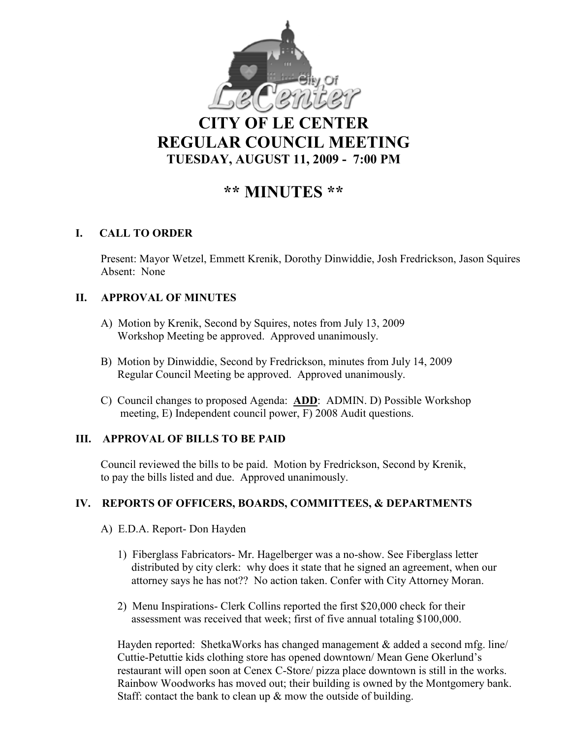

## **CITY OF LE CENTER REGULAR COUNCIL MEETING TUESDAY, AUGUST 11, 2009 - 7:00 PM**

# **\*\* MI UTES \*\***

## **I. CALL TO ORDER**

Present: Mayor Wetzel, Emmett Krenik, Dorothy Dinwiddie, Josh Fredrickson, Jason Squires Absent: None

## **II. APPROVAL OF MINUTES**

- A) Motion by Krenik, Second by Squires, notes from July 13, 2009 Workshop Meeting be approved. Approved unanimously.
- B) Motion by Dinwiddie, Second by Fredrickson, minutes from July 14, 2009 Regular Council Meeting be approved. Approved unanimously.
- C) Council changes to proposed Agenda: **ADD**: ADMIN. D) Possible Workshop meeting, E) Independent council power, F) 2008 Audit questions.

## **III. APPROVAL OF BILLS TO BE PAID**

Council reviewed the bills to be paid. Motion by Fredrickson, Second by Krenik, to pay the bills listed and due. Approved unanimously.

## **IV. REPORTS OF OFFICERS, BOARDS, COMMITTEES, & DEPARTME TS**

- A) E.D.A. Report- Don Hayden
	- 1) Fiberglass Fabricators- Mr. Hagelberger was a no-show. See Fiberglass letter distributed by city clerk: why does it state that he signed an agreement, when our attorney says he has not?? No action taken. Confer with City Attorney Moran.
	- 2) Menu Inspirations- Clerk Collins reported the first \$20,000 check for their assessment was received that week; first of five annual totaling \$100,000.

Hayden reported: ShetkaWorks has changed management & added a second mfg. line/ Cuttie-Petuttie kids clothing store has opened downtown/ Mean Gene Okerlund's restaurant will open soon at Cenex C-Store/ pizza place downtown is still in the works. Rainbow Woodworks has moved out; their building is owned by the Montgomery bank. Staff: contact the bank to clean up  $\&$  mow the outside of building.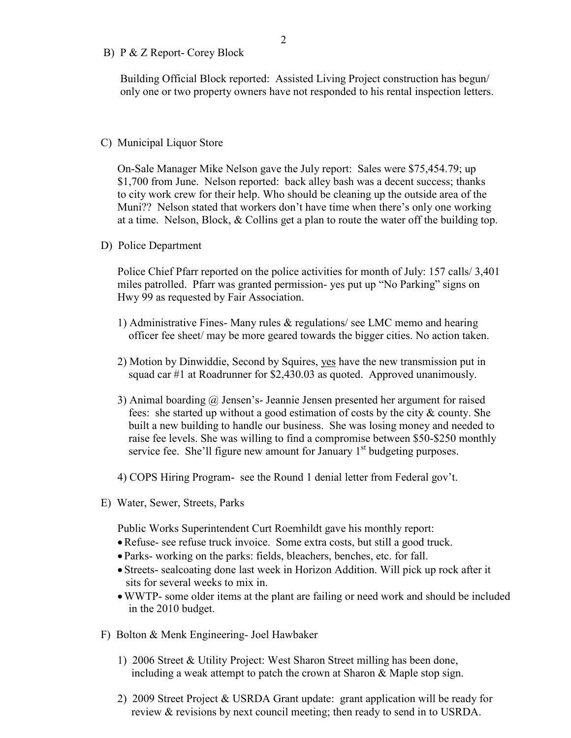B) P & Z Report- Corey Block

 Building Official Block reported: Assisted Living Project construction has begun/ only one or two property owners have not responded to his rental inspection letters.

#### C) Municipal Liquor Store

On-Sale Manager Mike Nelson gave the July report: Sales were \$75,454.79; up \$1,700 from June. Nelson reported: back alley bash was a decent success; thanks to city work crew for their help. Who should be cleaning up the outside area of the Muni?? Nelson stated that workers don't have time when there's only one working at a time. Nelson, Block, & Collins get a plan to route the water off the building top.

D) Police Department

Police Chief Pfarr reported on the police activities for month of July: 157 calls/ 3,401 miles patrolled. Pfarr was granted permission- yes put up "No Parking" signs on Hwy 99 as requested by Fair Association.

- 1) Administrative Fines- Many rules & regulations/ see LMC memo and hearing officer fee sheet/ may be more geared towards the bigger cities. No action taken.
- 2) Motion by Dinwiddie, Second by Squires, yes have the new transmission put in squad car #1 at Roadrunner for \$2,430.03 as quoted. Approved unanimously.
- 3) Animal boarding @ Jensen's- Jeannie Jensen presented her argument for raised fees: she started up without a good estimation of costs by the city & county. She built a new building to handle our business. She was losing money and needed to raise fee levels. She was willing to find a compromise between \$50-\$250 monthly service fee. She'll figure new amount for January  $1<sup>st</sup>$  budgeting purposes.
- 4) COPS Hiring Program- see the Round 1 denial letter from Federal gov't.
- E) Water, Sewer, Streets, Parks

Public Works Superintendent Curt Roemhildt gave his monthly report:

- •Refuse- see refuse truck invoice. Some extra costs, but still a good truck.
- Parks- working on the parks: fields, bleachers, benches, etc. for fall.
- Streets- sealcoating done last week in Horizon Addition. Will pick up rock after it sits for several weeks to mix in.
- •WWTP- some older items at the plant are failing or need work and should be included in the 2010 budget.
- F) Bolton & Menk Engineering- Joel Hawbaker
	- 1) 2006 Street & Utility Project: West Sharon Street milling has been done, including a weak attempt to patch the crown at Sharon & Maple stop sign.
	- 2) 2009 Street Project & USRDA Grant update: grant application will be ready for review & revisions by next council meeting; then ready to send in to USRDA.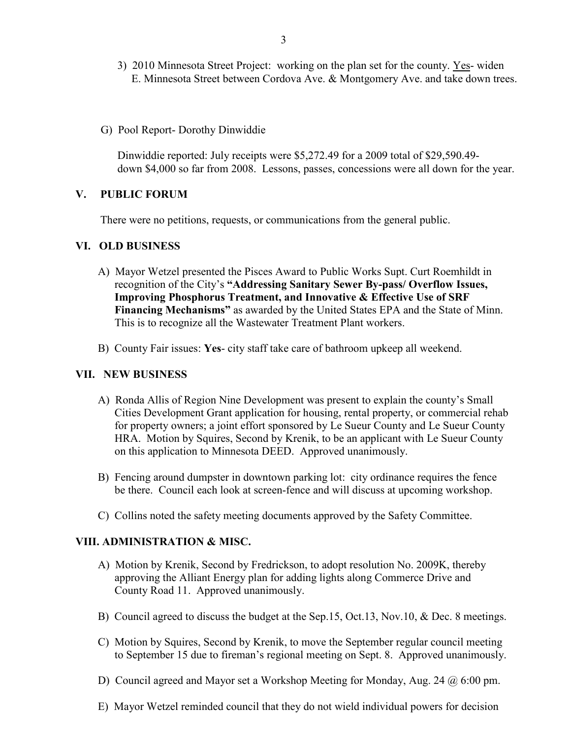- 3) 2010 Minnesota Street Project: working on the plan set for the county. Yes- widen E. Minnesota Street between Cordova Ave. & Montgomery Ave. and take down trees.
- G) Pool Report- Dorothy Dinwiddie

 Dinwiddie reported: July receipts were \$5,272.49 for a 2009 total of \$29,590.49 down \$4,000 so far from 2008. Lessons, passes, concessions were all down for the year.

#### **V. PUBLIC FORUM**

There were no petitions, requests, or communications from the general public.

#### **VI. OLD BUSI ESS**

- A) Mayor Wetzel presented the Pisces Award to Public Works Supt. Curt Roemhildt in recognition of the City's **"Addressing Sanitary Sewer By-pass/ Overflow Issues, Improving Phosphorus Treatment, and Innovative & Effective Use of SRF Financing Mechanisms"** as awarded by the United States EPA and the State of Minn. This is to recognize all the Wastewater Treatment Plant workers.
- B) County Fair issues: **Yes** city staff take care of bathroom upkeep all weekend.

### **VII. EW BUSI ESS**

- A) Ronda Allis of Region Nine Development was present to explain the county's Small Cities Development Grant application for housing, rental property, or commercial rehab for property owners; a joint effort sponsored by Le Sueur County and Le Sueur County HRA. Motion by Squires, Second by Krenik, to be an applicant with Le Sueur County on this application to Minnesota DEED. Approved unanimously.
- B) Fencing around dumpster in downtown parking lot: city ordinance requires the fence be there. Council each look at screen-fence and will discuss at upcoming workshop.
- C) Collins noted the safety meeting documents approved by the Safety Committee.

#### **VIII. ADMI ISTRATIO & MISC.**

- A) Motion by Krenik, Second by Fredrickson, to adopt resolution No. 2009K, thereby approving the Alliant Energy plan for adding lights along Commerce Drive and County Road 11. Approved unanimously.
- B) Council agreed to discuss the budget at the Sep.15, Oct.13, Nov.10, & Dec. 8 meetings.
- C) Motion by Squires, Second by Krenik, to move the September regular council meeting to September 15 due to fireman's regional meeting on Sept. 8. Approved unanimously.
- D) Council agreed and Mayor set a Workshop Meeting for Monday, Aug. 24 @ 6:00 pm.
- E) Mayor Wetzel reminded council that they do not wield individual powers for decision